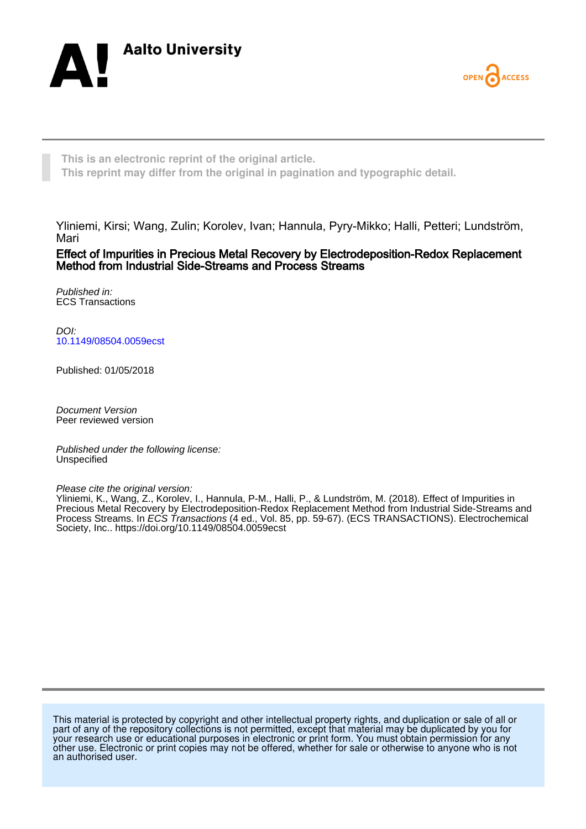



**This is an electronic reprint of the original article. This reprint may differ from the original in pagination and typographic detail.**

Yliniemi, Kirsi; Wang, Zulin; Korolev, Ivan; Hannula, Pyry-Mikko; Halli, Petteri; Lundström, Mari

Effect of Impurities in Precious Metal Recovery by Electrodeposition-Redox Replacement Method from Industrial Side-Streams and Process Streams

Published in: ECS Transactions

DOI: [10.1149/08504.0059ecst](https://doi.org/10.1149/08504.0059ecst)

Published: 01/05/2018

Document Version Peer reviewed version

Published under the following license: Unspecified

Please cite the original version:

Yliniemi, K., Wang, Z., Korolev, I., Hannula, P-M., Halli, P., & Lundström, M. (2018). Effect of Impurities in Precious Metal Recovery by Electrodeposition-Redox Replacement Method from Industrial Side-Streams and Process Streams. In *ECS Transactions* (4 ed., Vol. 85, pp. 59-67). (ECS TRANSACTIONS). Electrochemical Society, Inc..<https://doi.org/10.1149/08504.0059ecst>

This material is protected by copyright and other intellectual property rights, and duplication or sale of all or part of any of the repository collections is not permitted, except that material may be duplicated by you for your research use or educational purposes in electronic or print form. You must obtain permission for any other use. Electronic or print copies may not be offered, whether for sale or otherwise to anyone who is not an authorised user.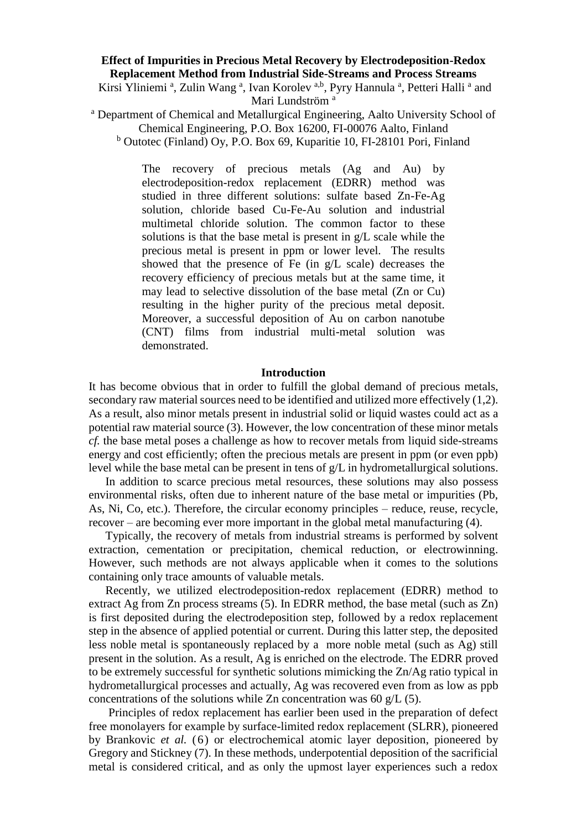# **Effect of Impurities in Precious Metal Recovery by Electrodeposition-Redox Replacement Method from Industrial Side-Streams and Process Streams**

Kirsi Yliniemi<sup>a</sup>, Zulin Wang<sup>a</sup>, Ivan Korolev<sup>a,b</sup>, Pyry Hannula<sup>a</sup>, Petteri Halli<sup>a</sup> and Mari Lundström<sup>a</sup>

<sup>a</sup> Department of Chemical and Metallurgical Engineering, Aalto University School of Chemical Engineering, P.O. Box 16200, FI-00076 Aalto, Finland

<sup>b</sup> Outotec (Finland) Oy, P.O. Box 69, Kuparitie 10, FI-28101 Pori, Finland

The recovery of precious metals (Ag and Au) by electrodeposition-redox replacement (EDRR) method was studied in three different solutions: sulfate based Zn-Fe-Ag solution, chloride based Cu-Fe-Au solution and industrial multimetal chloride solution. The common factor to these solutions is that the base metal is present in g/L scale while the precious metal is present in ppm or lower level. The results showed that the presence of Fe (in g/L scale) decreases the recovery efficiency of precious metals but at the same time, it may lead to selective dissolution of the base metal (Zn or Cu) resulting in the higher purity of the precious metal deposit. Moreover, a successful deposition of Au on carbon nanotube (CNT) films from industrial multi-metal solution was demonstrated.

#### **Introduction**

It has become obvious that in order to fulfill the global demand of precious metals, secondary raw material sources need to be identified and utilized more effectively (1,2). As a result, also minor metals present in industrial solid or liquid wastes could act as a potential raw material source (3). However, the low concentration of these minor metals *cf.* the base metal poses a challenge as how to recover metals from liquid side-streams energy and cost efficiently; often the precious metals are present in ppm (or even ppb) level while the base metal can be present in tens of g/L in hydrometallurgical solutions.

In addition to scarce precious metal resources, these solutions may also possess environmental risks, often due to inherent nature of the base metal or impurities (Pb, As, Ni, Co, etc.). Therefore, the circular economy principles – reduce, reuse, recycle, recover – are becoming ever more important in the global metal manufacturing (4).

Typically, the recovery of metals from industrial streams is performed by solvent extraction, cementation or precipitation, chemical reduction, or electrowinning. However, such methods are not always applicable when it comes to the solutions containing only trace amounts of valuable metals.

<span id="page-1-0"></span>Recently, we utilized electrodeposition-redox replacement (EDRR) method to extract Ag from Zn process streams (5). In EDRR method, the base metal (such as Zn) is first deposited during the electrodeposition step, followed by a redox replacement step in the absence of applied potential or current. During this latter step, the deposited less noble metal is spontaneously replaced by a more noble metal (such as Ag) still present in the solution. As a result, Ag is enriched on the electrode. The EDRR proved to be extremely successful for synthetic solutions mimicking the Zn/Ag ratio typical in hydrometallurgical processes and actually, Ag was recovered even from as low as ppb concentrations of the solutions while Zn concentration was 60  $g/L$  [\(5\)](#page-1-0).

Principles of redox replacement has earlier been used in the preparation of defect free monolayers for example by surface-limited redox replacement (SLRR), pioneered by Brankovic *et al.* (6) or electrochemical atomic layer deposition, pioneered by Gregory and Stickney (7). In these methods, underpotential deposition of the sacrificial metal is considered critical, and as only the upmost layer experiences such a redox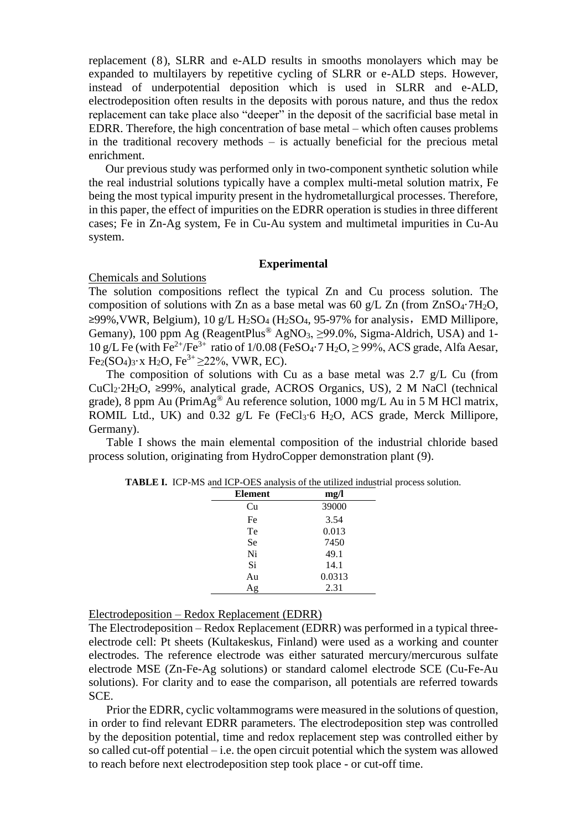replacement (8), SLRR and e-ALD results in smooths monolayers which may be expanded to multilayers by repetitive cycling of SLRR or e-ALD steps. However, instead of underpotential deposition which is used in SLRR and e-ALD, electrodeposition often results in the deposits with porous nature, and thus the redox replacement can take place also "deeper" in the deposit of the sacrificial base metal in EDRR. Therefore, the high concentration of base metal – which often causes problems in the traditional recovery methods – is actually beneficial for the precious metal enrichment.

Our previous study was performed only in two-component synthetic solution while the real industrial solutions typically have a complex multi-metal solution matrix, Fe being the most typical impurity present in the hydrometallurgical processes. Therefore, in this paper, the effect of impurities on the EDRR operation is studies in three different cases; Fe in Zn-Ag system, Fe in Cu-Au system and multimetal impurities in Cu-Au system.

## **Experimental**

## Chemicals and Solutions

The solution compositions reflect the typical Zn and Cu process solution. The composition of solutions with Zn as a base metal was 60 g/L Zn (from  $ZnSO_4$ -7H<sub>2</sub>O,  $≥99\%$ , VWR, Belgium), 10 g/L H<sub>2</sub>SO<sub>4</sub> (H<sub>2</sub>SO<sub>4</sub>, 95-97% for analysis, EMD Millipore, Gemany), 100 ppm Ag (ReagentPlus<sup>®</sup> AgNO<sub>3</sub>, >99.0%, Sigma-Aldrich, USA) and 1-10 g/L Fe (with Fe<sup>2+</sup>/Fe<sup>3+</sup> ratio of 1/0.08 (FeSO<sub>4</sub>·7 H<sub>2</sub>O,  $\geq$  99%, ACS grade, Alfa Aesar,  $Fe<sub>2</sub>(SO<sub>4</sub>)<sub>3</sub>·x H<sub>2</sub>O, Fe<sup>3+</sup> > 22%$ , VWR, EC).

The composition of solutions with Cu as a base metal was 2.7 g/L Cu (from CuCl2∙2H2O, ≥99%, analytical grade, ACROS Organics, US), 2 M NaCl (technical grade), 8 ppm Au ( $PrimAg^{\circledR}$  Au reference solution, 1000 mg/L Au in 5 M HCl matrix, ROMIL Ltd., UK) and 0.32 g/L Fe (FeCl3⋅6 H<sub>2</sub>O, ACS grade, Merck Millipore, Germany).

Table I shows the main elemental composition of the industrial chloride based process solution, originating from HydroCopper demonstration plant (9).

| <b>Element</b> | mg/l   |
|----------------|--------|
| Cu             | 39000  |
| Fe             | 3.54   |
| Te             | 0.013  |
| <b>Se</b>      | 7450   |
| Ni             | 49.1   |
| Si             | 14.1   |
| Au             | 0.0313 |
| $\sigma$       | 2.31   |

**TABLE I.** ICP-MS and ICP-OES analysis of the utilized industrial process solution.

Electrodeposition – Redox Replacement (EDRR)

The Electrodeposition – Redox Replacement (EDRR) was performed in a typical threeelectrode cell: Pt sheets (Kultakeskus, Finland) were used as a working and counter electrodes. The reference electrode was either saturated mercury/mercurous sulfate electrode MSE (Zn-Fe-Ag solutions) or standard calomel electrode SCE (Cu-Fe-Au solutions). For clarity and to ease the comparison, all potentials are referred towards SCE.

Prior the EDRR, cyclic voltammograms were measured in the solutions of question, in order to find relevant EDRR parameters. The electrodeposition step was controlled by the deposition potential, time and redox replacement step was controlled either by so called cut-off potential – i.e. the open circuit potential which the system was allowed to reach before next electrodeposition step took place - or cut-off time.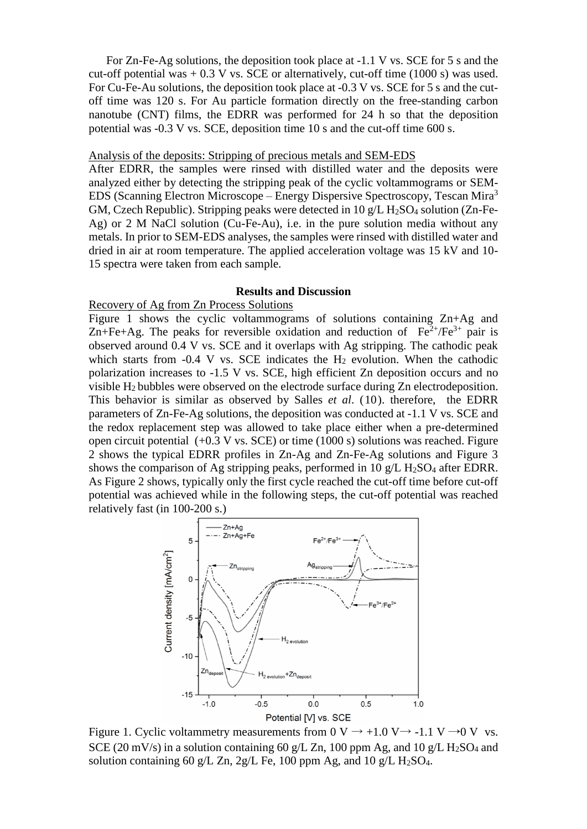For Zn-Fe-Ag solutions, the deposition took place at -1.1 V vs. SCE for 5 s and the cut-off potential was  $+ 0.3$  V vs. SCE or alternatively, cut-off time (1000 s) was used. For Cu-Fe-Au solutions, the deposition took place at -0.3 V vs. SCE for 5 s and the cutoff time was 120 s. For Au particle formation directly on the free-standing carbon nanotube (CNT) films, the EDRR was performed for 24 h so that the deposition potential was -0.3 V vs. SCE, deposition time 10 s and the cut-off time 600 s.

#### Analysis of the deposits: Stripping of precious metals and SEM-EDS

After EDRR, the samples were rinsed with distilled water and the deposits were analyzed either by detecting the stripping peak of the cyclic voltammograms or SEM-EDS (Scanning Electron Microscope – Energy Dispersive Spectroscopy, Tescan Mira<sup>3</sup> GM, Czech Republic). Stripping peaks were detected in 10  $g/L$  H<sub>2</sub>SO<sub>4</sub> solution (Zn-Fe-Ag) or 2 M NaCl solution (Cu-Fe-Au), i.e. in the pure solution media without any metals. In prior to SEM-EDS analyses, the samples were rinsed with distilled water and dried in air at room temperature. The applied acceleration voltage was 15 kV and 10- 15 spectra were taken from each sample.

## **Results and Discussion**

#### Recovery of Ag from Zn Process Solutions

Figure 1 shows the cyclic voltammograms of solutions containing Zn+Ag and Zn+Fe+Ag. The peaks for reversible oxidation and reduction of  $Fe^{2+}/Fe^{3+}$  pair is observed around 0.4 V vs. SCE and it overlaps with Ag stripping. The cathodic peak which starts from  $-0.4$  V vs. SCE indicates the  $H_2$  evolution. When the cathodic polarization increases to -1.5 V vs. SCE, high efficient Zn deposition occurs and no visible H2 bubbles were observed on the electrode surface during Zn electrodeposition. This behavior is similar as observed by Salles *et al*. (10). therefore, the EDRR parameters of Zn-Fe-Ag solutions, the deposition was conducted at -1.1 V vs. SCE and the redox replacement step was allowed to take place either when a pre-determined open circuit potential (+0.3 V vs. SCE) or time (1000 s) solutions was reached. Figure 2 shows the typical EDRR profiles in Zn-Ag and Zn-Fe-Ag solutions and Figure 3 shows the comparison of Ag stripping peaks, performed in 10  $g/L$  H<sub>2</sub>SO<sub>4</sub> after EDRR. As Figure 2 shows, typically only the first cycle reached the cut-off time before cut-off potential was achieved while in the following steps, the cut-off potential was reached relatively fast (in 100-200 s.)



Figure 1. Cyclic voltammetry measurements from 0 V  $\rightarrow$  +1.0 V  $\rightarrow$  -1.1 V  $\rightarrow$  0 V vs. SCE (20 mV/s) in a solution containing 60 g/L Zn, 100 ppm Ag, and 10 g/L  $H_2SO_4$  and solution containing 60 g/L Zn, 2g/L Fe, 100 ppm Ag, and 10 g/L H<sub>2</sub>SO<sub>4</sub>.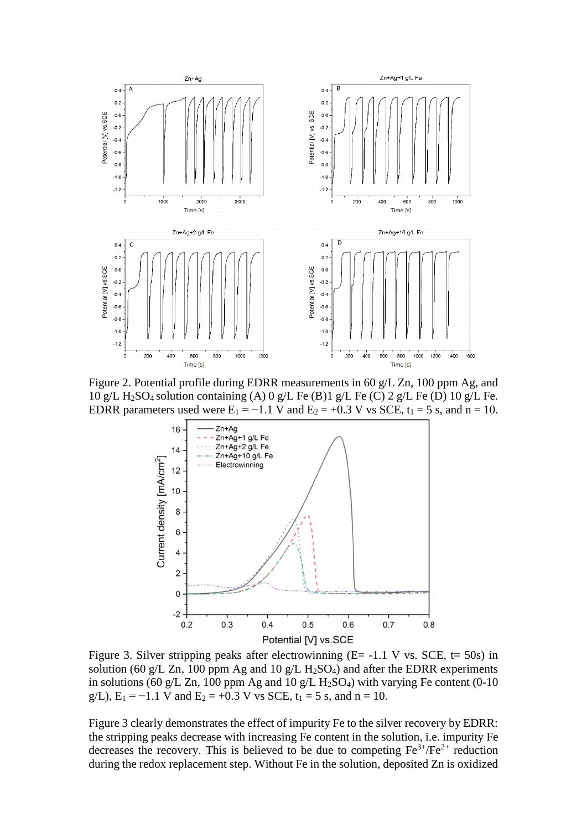

Figure 2. Potential profile during EDRR measurements in 60 g/L Zn, 100 ppm Ag, and 10 g/L H<sub>2</sub>SO<sub>4</sub> solution containing (A) 0 g/L Fe (B)1 g/L Fe (C) 2 g/L Fe (D) 10 g/L Fe. EDRR parameters used were  $E_1 = -1.1$  V and  $E_2 = +0.3$  V vs SCE,  $t_1 = 5$  s, and  $n = 10$ .



Figure 3. Silver stripping peaks after electrowinning  $(E = -1.1 \text{ V} \text{ vs. } SCE, t = 50 \text{s})$  in solution (60 g/L Zn, 100 ppm Ag and 10 g/L H<sub>2</sub>SO<sub>4</sub>) and after the EDRR experiments in solutions (60 g/L Zn, 100 ppm Ag and 10 g/L H<sub>2</sub>SO<sub>4</sub>) with varying Fe content (0-10 g/L),  $E_1 = -1.1$  V and  $E_2 = +0.3$  V vs SCE,  $t_1 = 5$  s, and  $n = 10$ .

Figure 3 clearly demonstrates the effect of impurity Fe to the silver recovery by EDRR: the stripping peaks decrease with increasing Fe content in the solution, i.e. impurity Fe decreases the recovery. This is believed to be due to competing  $Fe^{3+}/Fe^{2+}$  reduction during the redox replacement step. Without Fe in the solution, deposited Zn is oxidized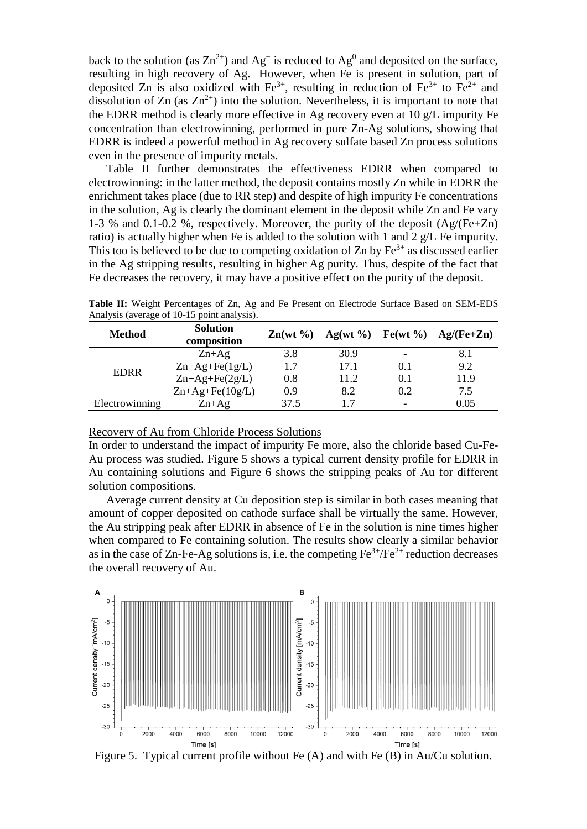back to the solution (as  $\text{Zn}^{2+}$ ) and Ag<sup>+</sup> is reduced to Ag<sup>0</sup> and deposited on the surface, resulting in high recovery of Ag. However, when Fe is present in solution, part of deposited Zn is also oxidized with  $Fe^{3+}$ , resulting in reduction of  $Fe^{3+}$  to  $Fe^{2+}$  and dissolution of Zn (as  $Zn^{2+}$ ) into the solution. Nevertheless, it is important to note that the EDRR method is clearly more effective in Ag recovery even at 10 g/L impurity Fe concentration than electrowinning, performed in pure Zn-Ag solutions, showing that EDRR is indeed a powerful method in Ag recovery sulfate based Zn process solutions even in the presence of impurity metals.

Table II further demonstrates the effectiveness EDRR when compared to electrowinning: in the latter method, the deposit contains mostly Zn while in EDRR the enrichment takes place (due to RR step) and despite of high impurity Fe concentrations in the solution, Ag is clearly the dominant element in the deposit while Zn and Fe vary 1-3 % and 0.1-0.2 %, respectively. Moreover, the purity of the deposit (Ag/(Fe+Zn) ratio) is actually higher when Fe is added to the solution with 1 and 2 g/L Fe impurity. This too is believed to be due to competing oxidation of Zn by  $Fe<sup>3+</sup>$  as discussed earlier in the Ag stripping results, resulting in higher Ag purity. Thus, despite of the fact that Fe decreases the recovery, it may have a positive effect on the purity of the deposit.

| <b>Method</b>  | <b>Solution</b><br>composition | $\text{Zn}(w t \%)$ |      |     | Ag(wt %) Fe(wt %) Ag/(Fe+Zn) |
|----------------|--------------------------------|---------------------|------|-----|------------------------------|
| <b>EDRR</b>    | $Zn+Ag$                        | 3.8                 | 30.9 |     | 8.1                          |
|                | $Zn+Ag+Fe(1g/L)$               | 1.7                 | 17.1 | 0.1 | 9.2                          |
|                | $Zn+Ag+Fe(2g/L)$               | 0.8                 | 11.2 | 0.1 | 11.9                         |
|                | $Zn+Ag+Fe(10g/L)$              | 0.9                 | 8.2  | 0.2 | 7.5                          |
| Electrowinning | $Zn+Ag$                        | 37.5                |      |     | 0.05                         |

**Table II:** Weight Percentages of Zn, Ag and Fe Present on Electrode Surface Based on SEM-EDS Analysis (average of 10-15 point analysis).

Recovery of Au from Chloride Process Solutions

In order to understand the impact of impurity Fe more, also the chloride based Cu-Fe-Au process was studied. Figure 5 shows a typical current density profile for EDRR in Au containing solutions and Figure 6 shows the stripping peaks of Au for different solution compositions.

Average current density at Cu deposition step is similar in both cases meaning that amount of copper deposited on cathode surface shall be virtually the same. However, the Au stripping peak after EDRR in absence of Fe in the solution is nine times higher when compared to Fe containing solution. The results show clearly a similar behavior as in the case of Zn-Fe-Ag solutions is, i.e. the competing  $Fe^{3+}/Fe^{2+}$  reduction decreases the overall recovery of Au.



Figure 5. Typical current profile without Fe (A) and with Fe (B) in Au/Cu solution.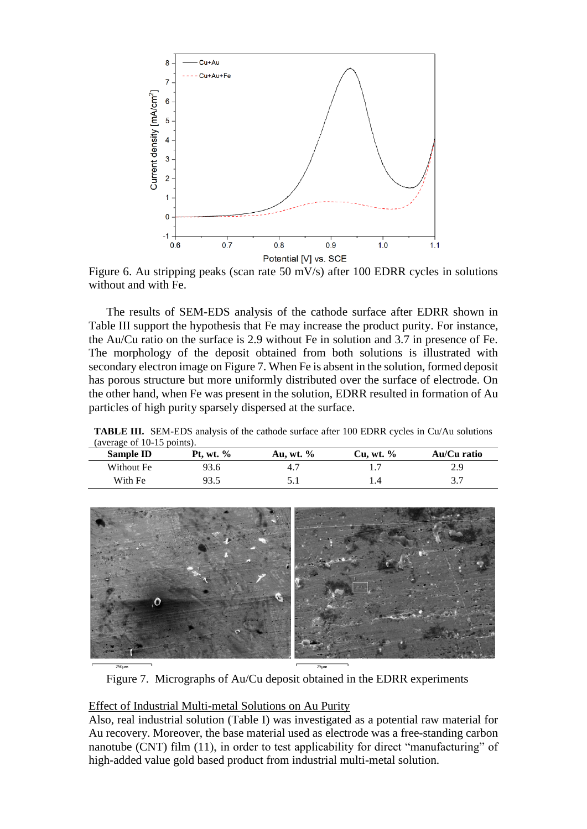

Figure 6. Au stripping peaks (scan rate 50 mV/s) after 100 EDRR cycles in solutions without and with Fe.

The results of SEM-EDS analysis of the cathode surface after EDRR shown in Table III support the hypothesis that Fe may increase the product purity. For instance, the Au/Cu ratio on the surface is 2.9 without Fe in solution and 3.7 in presence of Fe. The morphology of the deposit obtained from both solutions is illustrated with secondary electron image on Figure 7. When Fe is absent in the solution, formed deposit has porous structure but more uniformly distributed over the surface of electrode. On the other hand, when Fe was present in the solution, EDRR resulted in formation of Au particles of high purity sparsely dispersed at the surface.

| (average of 10-15 points). |                  |              |              |             |  |  |  |
|----------------------------|------------------|--------------|--------------|-------------|--|--|--|
| Sample ID                  | <b>Pt.</b> wt. % | Au, wt. $\%$ | Cu. wt. $\%$ | Au/Cu ratio |  |  |  |
| Without Fe                 | 93.6             |              |              | 2.9         |  |  |  |
| With Fe                    | 93.5             |              |              |             |  |  |  |

**TABLE III.** SEM-EDS analysis of the cathode surface after 100 EDRR cycles in Cu/Au solutions (average of 10-15 points).



Figure 7. Micrographs of Au/Cu deposit obtained in the EDRR experiments

# Effect of Industrial Multi-metal Solutions on Au Purity

Also, real industrial solution (Table I) was investigated as a potential raw material for Au recovery. Moreover, the base material used as electrode was a free-standing carbon nanotube (CNT) film (11), in order to test applicability for direct "manufacturing" of high-added value gold based product from industrial multi-metal solution.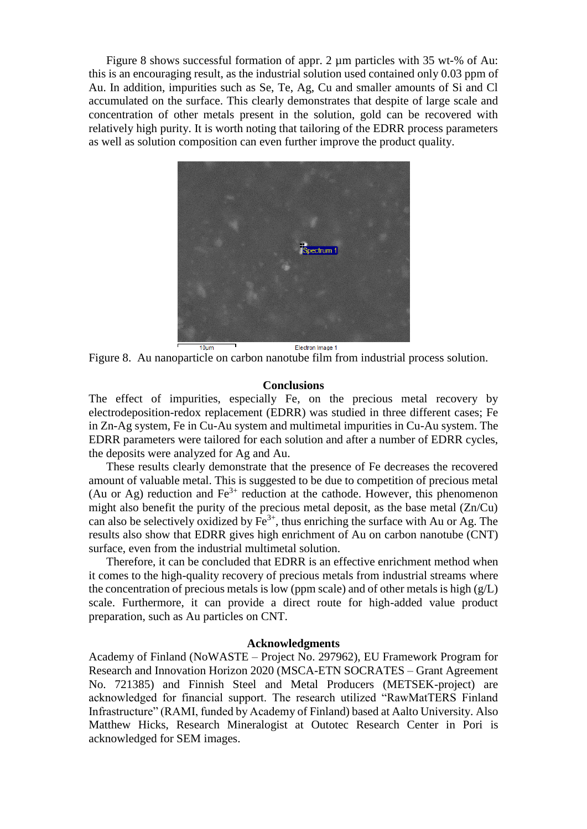Figure 8 shows successful formation of appr. 2  $\mu$ m particles with 35 wt-% of Au: this is an encouraging result, as the industrial solution used contained only 0.03 ppm of Au. In addition, impurities such as Se, Te, Ag, Cu and smaller amounts of Si and Cl accumulated on the surface. This clearly demonstrates that despite of large scale and concentration of other metals present in the solution, gold can be recovered with relatively high purity. It is worth noting that tailoring of the EDRR process parameters as well as solution composition can even further improve the product quality.



Figure 8. Au nanoparticle on carbon nanotube film from industrial process solution.

#### **Conclusions**

The effect of impurities, especially Fe, on the precious metal recovery by electrodeposition-redox replacement (EDRR) was studied in three different cases; Fe in Zn-Ag system, Fe in Cu-Au system and multimetal impurities in Cu-Au system. The EDRR parameters were tailored for each solution and after a number of EDRR cycles, the deposits were analyzed for Ag and Au.

These results clearly demonstrate that the presence of Fe decreases the recovered amount of valuable metal. This is suggested to be due to competition of precious metal (Au or Ag) reduction and  $Fe<sup>3+</sup>$  reduction at the cathode. However, this phenomenon might also benefit the purity of the precious metal deposit, as the base metal (Zn/Cu) can also be selectively oxidized by  $Fe^{3+}$ , thus enriching the surface with Au or Ag. The results also show that EDRR gives high enrichment of Au on carbon nanotube (CNT) surface, even from the industrial multimetal solution.

Therefore, it can be concluded that EDRR is an effective enrichment method when it comes to the high-quality recovery of precious metals from industrial streams where the concentration of precious metals is low (ppm scale) and of other metals is high  $(g/L)$ scale. Furthermore, it can provide a direct route for high-added value product preparation, such as Au particles on CNT.

# **Acknowledgments**

Academy of Finland (NoWASTE – Project No. 297962), EU Framework Program for Research and Innovation Horizon 2020 (MSCA-ETN SOCRATES – Grant Agreement No. 721385) and Finnish Steel and Metal Producers (METSEK-project) are acknowledged for financial support. The research utilized "RawMatTERS Finland Infrastructure" (RAMI, funded by Academy of Finland) based at Aalto University. Also Matthew Hicks, Research Mineralogist at Outotec Research Center in Pori is acknowledged for SEM images.